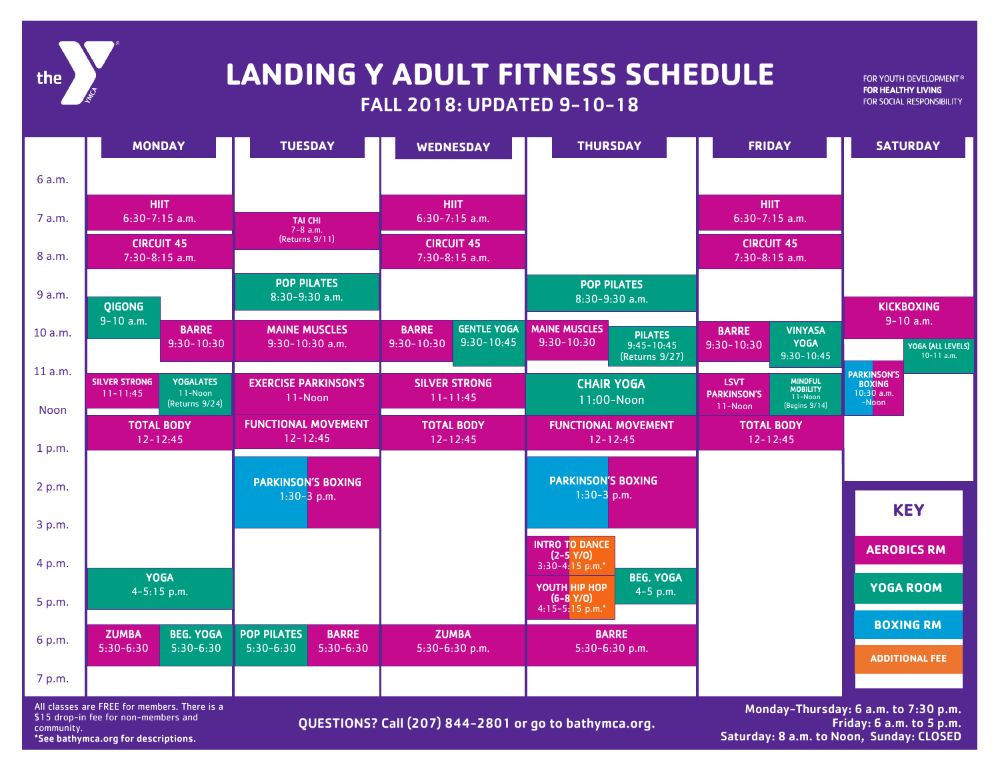# the

## FALL 2018: UPDATED 9-10-18 **LANDING Y ADULT FITNESS SCHEDULE**

FOR YOUTH DEVELOPMENT® FOR HEALTHY LIVING FOR SOCIAL RESPONSIBILITY

|                | <b>MONDAY</b>                                                                         | <b>TUESDAY</b>                                                   | <b>WEDNESDAY</b>                                                       | <b>THURSDAY</b>                                                                              | <b>FRIDAY</b>                                                                                                 | <b>SATURDAY</b>                                              |
|----------------|---------------------------------------------------------------------------------------|------------------------------------------------------------------|------------------------------------------------------------------------|----------------------------------------------------------------------------------------------|---------------------------------------------------------------------------------------------------------------|--------------------------------------------------------------|
| 6 a.m.         |                                                                                       |                                                                  |                                                                        |                                                                                              |                                                                                                               |                                                              |
| 7 a.m.         | <b>HIIT</b><br>$6:30-7:15$ a.m.                                                       | <b>TAI CHI</b><br>$7-8$ a.m.                                     | <b>HIIT</b><br>$6:30-7:15$ a.m.                                        |                                                                                              | <b>HIIT</b><br>$6:30-7:15$ a.m.                                                                               |                                                              |
| 8 a.m.         | <b>CIRCUIT 45</b><br>$7:30-8:15$ a.m.                                                 | (Returns 9/11)                                                   | <b>CIRCUIT 45</b><br>$7:30-8:15$ a.m.                                  |                                                                                              | <b>CIRCUIT 45</b><br>$7:30-8:15$ a.m.                                                                         |                                                              |
| 9 a.m.         | <b>QIGONG</b>                                                                         | <b>POP PILATES</b><br>8:30-9:30 a.m.                             |                                                                        | <b>POP PILATES</b><br>8:30-9:30 a.m.                                                         |                                                                                                               | <b>KICKBOXING</b>                                            |
| 10 a.m.        | $9-10$ a.m.<br><b>BARRE</b><br>$9:30 - 10:30$                                         | <b>MAINE MUSCLES</b><br>$9:30-10:30$ a.m.                        | <b>GENTLE YOGA</b><br><b>BARRE</b><br>$9:30 - 10:45$<br>$9:30 - 10:30$ | <b>MAINE MUSCLES</b><br><b>PILATES</b><br>$9:30 - 10:30$<br>$9:45 - 10:45$<br>(Returns 9/27) | <b>VINYASA</b><br><b>BARRE</b><br><b>YOGA</b><br>$9:30 - 10:30$<br>$9:30 - 10:45$                             | $9 - 10$ a.m.<br>YOGA (ALL LEVELS)<br>$10-11$ a.m.           |
| 11 a.m.        | <b>YOGALATES</b><br><b>SILVER STRONG</b><br>11-Noon<br>$11 - 11:45$<br>(Returns 9/24) | <b>EXERCISE PARKINSON'S</b><br>11-Noon                           | <b>SILVER STRONG</b><br>$11 - 11:45$                                   | <b>CHAIR YOGA</b><br>11:00-Noon                                                              | <b>MINDFUL</b><br><b>MOBILITY</b><br><b>LSVT</b><br><b>PARKINSON'S</b><br>11-Noon<br>(Begins 9/14)<br>11-Noon | <b>PARKINSON'S</b><br><b>BOXING</b><br>$10:30$ a.m.<br>-Noon |
| Noon<br>1 p.m. | <b>TOTAL BODY</b><br>$12 - 12:45$                                                     | <b>FUNCTIONAL MOVEMENT</b><br>$12 - 12:45$                       | <b>TOTAL BODY</b><br>$12 - 12:45$                                      | <b>FUNCTIONAL MOVEMENT</b><br>$12 - 12:45$                                                   | <b>TOTAL BODY</b><br>$12 - 12:45$                                                                             |                                                              |
| 2 p.m.         |                                                                                       | <b>PARKINSON'S BOXING</b><br>$1:30-3$ p.m.                       |                                                                        | <b>PARKINSON'S BOXING</b><br>$1:30-3$ p.m.                                                   |                                                                                                               |                                                              |
| 3 p.m.         |                                                                                       |                                                                  |                                                                        |                                                                                              |                                                                                                               | <b>KEY</b>                                                   |
| 4 p.m.         | <b>YOGA</b>                                                                           |                                                                  |                                                                        | <b>INTRO TO DANCE</b><br>$(2-5 Y/O)$<br>$3:30-4:15 p.m.*$<br><b>BEG. YOGA</b>                |                                                                                                               | <b>AEROBICS RM</b>                                           |
| 5 p.m.         | $4 - 5:15$ p.m.                                                                       |                                                                  |                                                                        | YOUTH HIP HOP<br>$4 - 5$ p.m.<br>$(6-8 Y/O)$<br>$4:15-5:15$ p.m.*                            |                                                                                                               | YOGA ROOM                                                    |
| 6 p.m.         | <b>BEG. YOGA</b><br><b>ZUMBA</b><br>$5:30-6:30$<br>$5:30-6:30$                        | <b>POP PILATES</b><br><b>BARRE</b><br>$5:30-6:30$<br>$5:30-6:30$ | <b>ZUMBA</b><br>5:30-6:30 p.m.                                         | <b>BARRE</b><br>5:30-6:30 p.m.                                                               |                                                                                                               | <b>BOXING RM</b>                                             |
| 7 p.m.         |                                                                                       |                                                                  |                                                                        |                                                                                              |                                                                                                               | <b>ADDITIONAL FEE</b>                                        |

All classes are FREE for members. There is a \$15 drop-in fee for non-members and community. \*See bathymca.org for descriptions.

QUESTIONS? Call (207) 844-2801 or go to bathymca.org.

Monday-Thursday: 6 a.m. to 7:30 p.m. Friday: 6 a.m. to 5 p.m. Saturday: 8 a.m. to Noon, Sunday: CLOSED